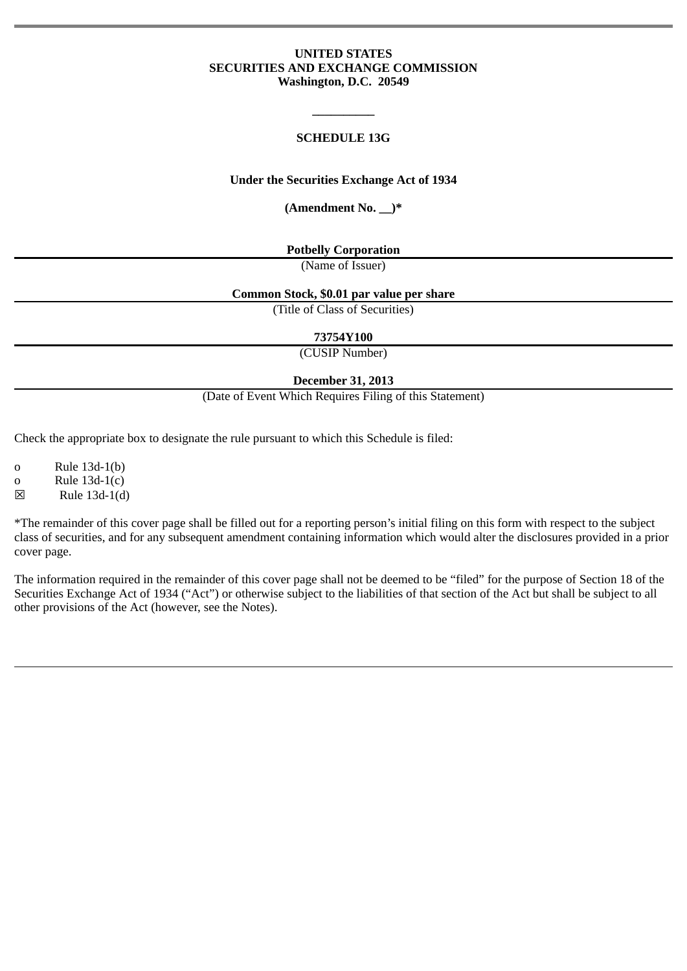#### **UNITED STATES SECURITIES AND EXCHANGE COMMISSION Washington, D.C. 20549**

### **SCHEDULE 13G**

**\_\_\_\_\_\_\_\_\_\_**

#### **Under the Securities Exchange Act of 1934**

**(Amendment No. \_\_)\***

**Potbelly Corporation**

(Name of Issuer)

#### **Common Stock, \$0.01 par value per share**

(Title of Class of Securities)

**73754Y100**

(CUSIP Number)

**December 31, 2013**

(Date of Event Which Requires Filing of this Statement)

Check the appropriate box to designate the rule pursuant to which this Schedule is filed:

o Rule 13d-1(b)

o Rule 13d-1(c)

☒ Rule 13d-1(d)

\*The remainder of this cover page shall be filled out for a reporting person's initial filing on this form with respect to the subject class of securities, and for any subsequent amendment containing information which would alter the disclosures provided in a prior cover page.

The information required in the remainder of this cover page shall not be deemed to be "filed" for the purpose of Section 18 of the Securities Exchange Act of 1934 ("Act") or otherwise subject to the liabilities of that section of the Act but shall be subject to all other provisions of the Act (however, see the Notes).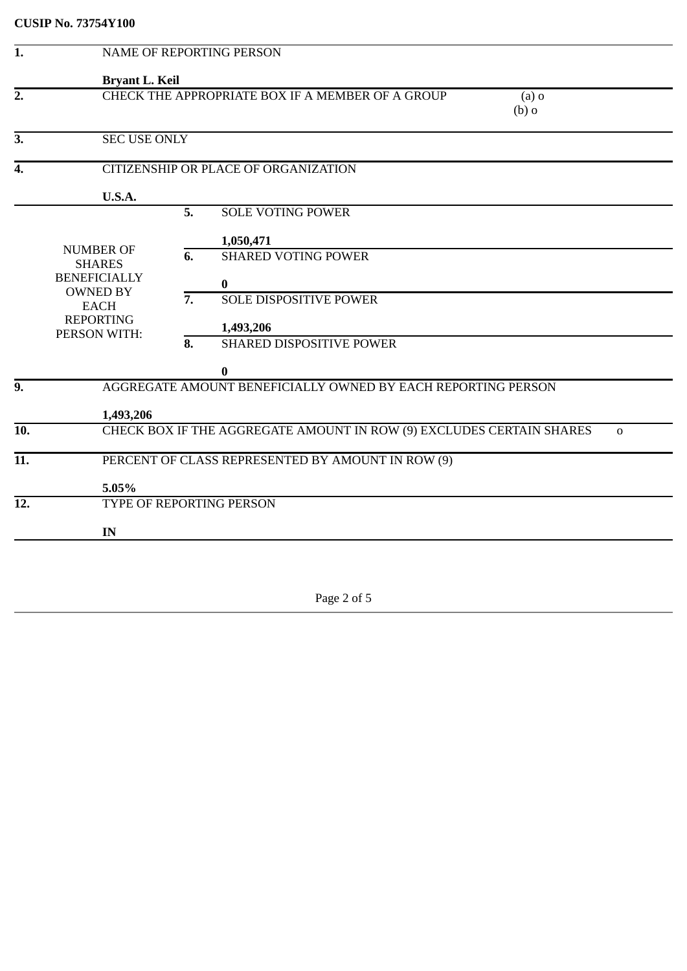| 1.                |                                                                                                                                |                  | <b>NAME OF REPORTING PERSON</b>                                                  |  |  |
|-------------------|--------------------------------------------------------------------------------------------------------------------------------|------------------|----------------------------------------------------------------------------------|--|--|
|                   | <b>Bryant L. Keil</b>                                                                                                          |                  |                                                                                  |  |  |
| $\overline{2}$ .  | CHECK THE APPROPRIATE BOX IF A MEMBER OF A GROUP<br>$(a)$ o<br>$(b)$ o                                                         |                  |                                                                                  |  |  |
| 3.                | <b>SEC USE ONLY</b>                                                                                                            |                  |                                                                                  |  |  |
| 4.                |                                                                                                                                |                  | CITIZENSHIP OR PLACE OF ORGANIZATION                                             |  |  |
|                   | U.S.A.                                                                                                                         |                  |                                                                                  |  |  |
|                   |                                                                                                                                | 5.               | <b>SOLE VOTING POWER</b>                                                         |  |  |
|                   |                                                                                                                                |                  | 1,050,471                                                                        |  |  |
|                   | <b>NUMBER OF</b><br><b>SHARES</b><br><b>BENEFICIALLY</b><br><b>OWNED BY</b><br><b>EACH</b><br><b>REPORTING</b><br>PERSON WITH: | 6.               | <b>SHARED VOTING POWER</b>                                                       |  |  |
|                   |                                                                                                                                |                  |                                                                                  |  |  |
|                   |                                                                                                                                | $\overline{7}$ . | 0<br><b>SOLE DISPOSITIVE POWER</b>                                               |  |  |
|                   |                                                                                                                                |                  |                                                                                  |  |  |
|                   |                                                                                                                                |                  | 1,493,206                                                                        |  |  |
|                   |                                                                                                                                | 8.               | <b>SHARED DISPOSITIVE POWER</b>                                                  |  |  |
|                   |                                                                                                                                |                  | 0                                                                                |  |  |
| $\overline{9}$ .  |                                                                                                                                |                  | AGGREGATE AMOUNT BENEFICIALLY OWNED BY EACH REPORTING PERSON                     |  |  |
|                   | 1,493,206                                                                                                                      |                  |                                                                                  |  |  |
| 10.               |                                                                                                                                |                  | CHECK BOX IF THE AGGREGATE AMOUNT IN ROW (9) EXCLUDES CERTAIN SHARES<br>$\Omega$ |  |  |
| $\overline{11}$ . |                                                                                                                                |                  | PERCENT OF CLASS REPRESENTED BY AMOUNT IN ROW (9)                                |  |  |
|                   | 5.05%                                                                                                                          |                  |                                                                                  |  |  |
| 12.               | TYPE OF REPORTING PERSON                                                                                                       |                  |                                                                                  |  |  |
|                   | IN                                                                                                                             |                  |                                                                                  |  |  |
|                   |                                                                                                                                |                  |                                                                                  |  |  |
|                   |                                                                                                                                |                  |                                                                                  |  |  |

Page 2 of 5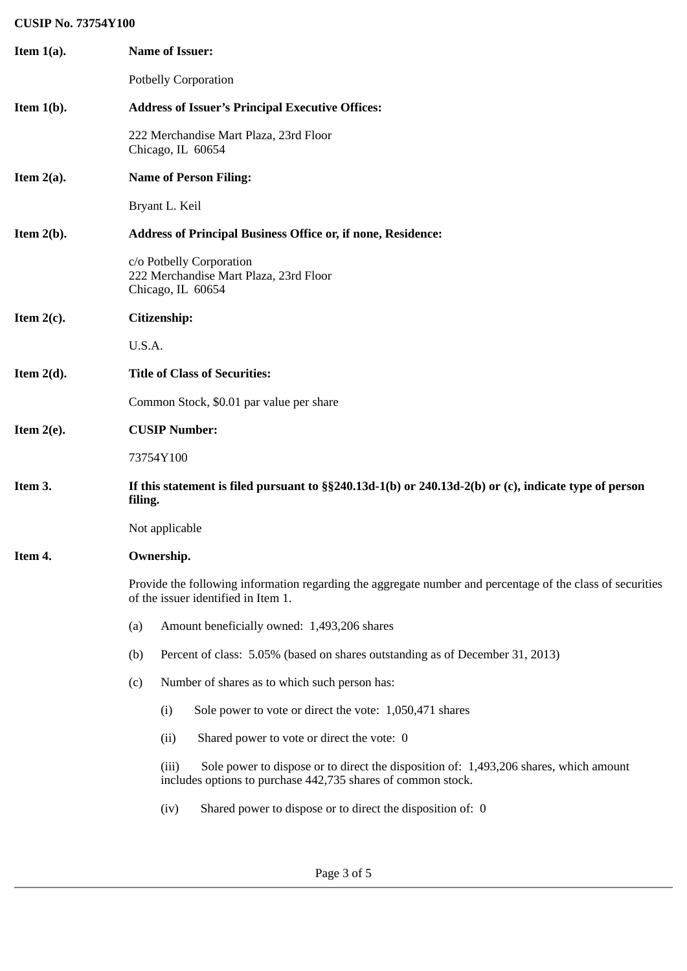## **CUSIP No. 73754Y100**

| Item $1(a)$ . | <b>Name of Issuer:</b>                                                                                                                                         |  |  |  |  |
|---------------|----------------------------------------------------------------------------------------------------------------------------------------------------------------|--|--|--|--|
|               | <b>Potbelly Corporation</b>                                                                                                                                    |  |  |  |  |
| Item $1(b)$ . | <b>Address of Issuer's Principal Executive Offices:</b>                                                                                                        |  |  |  |  |
|               | 222 Merchandise Mart Plaza, 23rd Floor<br>Chicago, IL 60654                                                                                                    |  |  |  |  |
| Item $2(a)$ . | <b>Name of Person Filing:</b>                                                                                                                                  |  |  |  |  |
|               | Bryant L. Keil                                                                                                                                                 |  |  |  |  |
| Item $2(b)$ . | <b>Address of Principal Business Office or, if none, Residence:</b>                                                                                            |  |  |  |  |
|               | c/o Potbelly Corporation<br>222 Merchandise Mart Plaza, 23rd Floor<br>Chicago, IL 60654                                                                        |  |  |  |  |
| Item $2(c)$ . | Citizenship:                                                                                                                                                   |  |  |  |  |
|               | U.S.A.                                                                                                                                                         |  |  |  |  |
| Item $2(d)$ . | <b>Title of Class of Securities:</b>                                                                                                                           |  |  |  |  |
|               | Common Stock, \$0.01 par value per share                                                                                                                       |  |  |  |  |
| Item $2(e)$ . | <b>CUSIP Number:</b>                                                                                                                                           |  |  |  |  |
|               | 73754Y100                                                                                                                                                      |  |  |  |  |
| Item 3.       | If this statement is filed pursuant to §§240.13d-1(b) or 240.13d-2(b) or (c), indicate type of person<br>filing.                                               |  |  |  |  |
|               | Not applicable                                                                                                                                                 |  |  |  |  |
| Item 4.       | Ownership.                                                                                                                                                     |  |  |  |  |
|               | Provide the following information regarding the aggregate number and percentage of the class of securities<br>of the issuer identified in Item 1.              |  |  |  |  |
|               | Amount beneficially owned: 1,493,206 shares<br>(a)                                                                                                             |  |  |  |  |
|               | (b)<br>Percent of class: 5.05% (based on shares outstanding as of December 31, 2013)                                                                           |  |  |  |  |
|               | Number of shares as to which such person has:<br>(c)                                                                                                           |  |  |  |  |
|               | (i)<br>Sole power to vote or direct the vote: 1,050,471 shares                                                                                                 |  |  |  |  |
|               | (ii)<br>Shared power to vote or direct the vote: 0                                                                                                             |  |  |  |  |
|               | Sole power to dispose or to direct the disposition of: 1,493,206 shares, which amount<br>(iii)<br>includes options to purchase 442,735 shares of common stock. |  |  |  |  |
|               | Shared power to dispose or to direct the disposition of: 0<br>(iv)                                                                                             |  |  |  |  |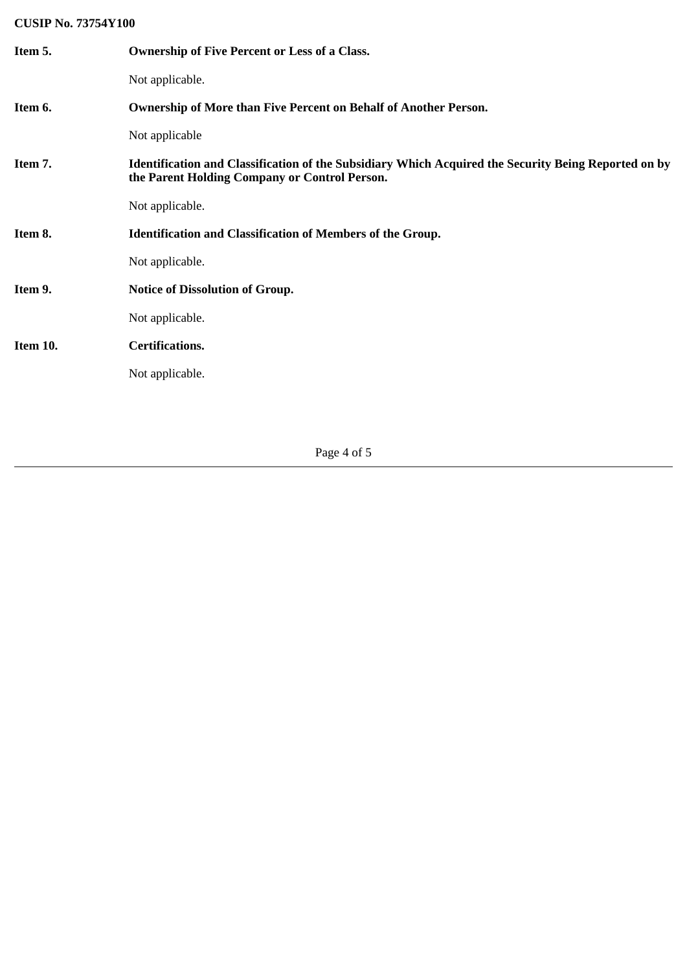# **CUSIP No. 73754Y100**

| Item 5.  | <b>Ownership of Five Percent or Less of a Class.</b>                                                                                                  |
|----------|-------------------------------------------------------------------------------------------------------------------------------------------------------|
|          | Not applicable.                                                                                                                                       |
| Item 6.  | <b>Ownership of More than Five Percent on Behalf of Another Person.</b>                                                                               |
|          | Not applicable                                                                                                                                        |
| Item 7.  | Identification and Classification of the Subsidiary Which Acquired the Security Being Reported on by<br>the Parent Holding Company or Control Person. |
|          | Not applicable.                                                                                                                                       |
| Item 8.  | <b>Identification and Classification of Members of the Group.</b>                                                                                     |
|          | Not applicable.                                                                                                                                       |
| Item 9.  | <b>Notice of Dissolution of Group.</b>                                                                                                                |
|          | Not applicable.                                                                                                                                       |
| Item 10. | <b>Certifications.</b>                                                                                                                                |
|          | Not applicable.                                                                                                                                       |
|          |                                                                                                                                                       |

Page 4 of 5